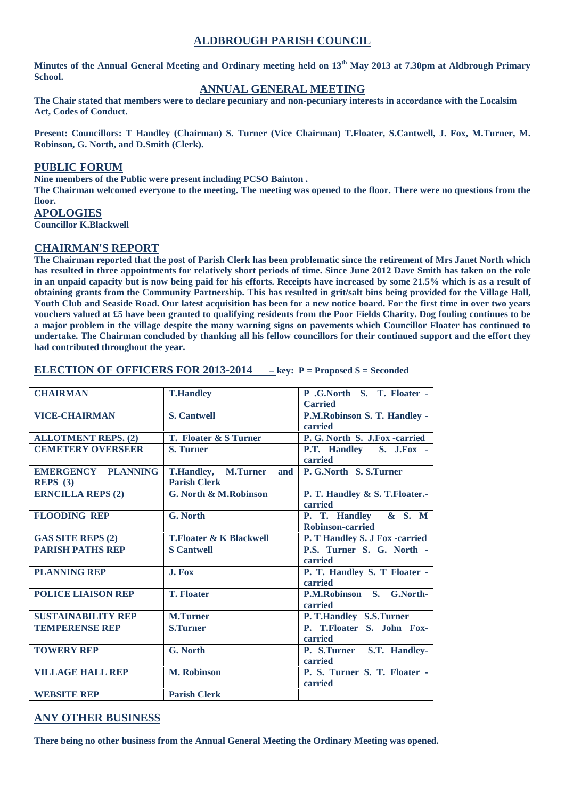### **ALDBROUGH PARISH COUNCIL**

**Minutes of the Annual General Meeting and Ordinary meeting held on 13 th May 2013 at 7.30pm at Aldbrough Primary School.**

### **ANNUAL GENERAL MEETING**

**The Chair stated that members were to declare pecuniary and non-pecuniary interests in accordance with the Localsim Act, Codes of Conduct.**

**Present: Councillors: T Handley (Chairman) S. Turner (Vice Chairman) T.Floater, S.Cantwell, J. Fox, M.Turner, M. Robinson, G. North, and D.Smith (Clerk).**

#### **PUBLIC FORUM**

**Nine members of the Public were present including PCSO Bainton . The Chairman welcomed everyone to the meeting. The meeting was opened to the floor. There were no questions from the floor.**

# **APOLOGIES**

**Councillor K.Blackwell**

#### **CHAIRMAN'S REPORT**

**The Chairman reported that the post of Parish Clerk has been problematic since the retirement of Mrs Janet North which has resulted in three appointments for relatively short periods of time. Since June 2012 Dave Smith has taken on the role in an unpaid capacity but is now being paid for his efforts. Receipts have increased by some 21.5% which is as a result of obtaining grants from the Community Partnership. This has resulted in grit/salt bins being provided for the Village Hall, Youth Club and Seaside Road. Our latest acquisition has been for a new notice board. For the first time in over two years vouchers valued at £5 have been granted to qualifying residents from the Poor Fields Charity. Dog fouling continues to be a major problem in the village despite the many warning signs on pavements which Councillor Floater has continued to undertake. The Chairman concluded by thanking all his fellow councillors for their continued support and the effort they had contributed throughout the year.**

| <b>CHAIRMAN</b>            | <b>T.Handley</b>                   | P.G.North S. T. Floater -                       |
|----------------------------|------------------------------------|-------------------------------------------------|
|                            |                                    | <b>Carried</b>                                  |
| <b>VICE-CHAIRMAN</b>       | <b>S. Cantwell</b>                 | P.M.Robinson S. T. Handley -<br>carried         |
| <b>ALLOTMENT REPS. (2)</b> | T. Floater & S Turner              | P. G. North S. J.Fox -carried                   |
| <b>CEMETERY OVERSEER</b>   | <b>S. Turner</b>                   | P.T. Handley S. J.Fox -<br>carried              |
| <b>EMERGENCY PLANNING</b>  | T.Handley, M.Turner and            | P. G.North S. S.Turner                          |
| REPS(3)                    | <b>Parish Clerk</b>                |                                                 |
| <b>ERNCILLA REPS (2)</b>   | G. North & M.Robinson              | P. T. Handley & S. T. Floater.-<br>carried      |
| <b>FLOODING REP</b>        | G. North                           | P. T. Handley & S. M<br><b>Robinson-carried</b> |
| <b>GAS SITE REPS (2)</b>   | <b>T.Floater &amp; K Blackwell</b> | P. T Handley S. J Fox -carried                  |
| <b>PARISH PATHS REP</b>    | <b>S</b> Cantwell                  | P.S. Turner S. G. North -<br>carried            |
| <b>PLANNING REP</b>        | J. Fox                             | P. T. Handley S. T Floater -<br>carried         |
| <b>POLICE LIAISON REP</b>  | <b>T. Floater</b>                  | P.M.Robinson S. G.North-<br>carried             |
| <b>SUSTAINABILITY REP</b>  | <b>M.Turner</b>                    | P. T. Handley S.S. Turner                       |
| <b>TEMPERENSE REP</b>      | <b>S.Turner</b>                    | P. T.Floater S. John Fox-<br>carried            |
| <b>TOWERY REP</b>          | G. North                           | P. S.Turner S.T. Handley-<br>carried            |
| <b>VILLAGE HALL REP</b>    | <b>M. Robinson</b>                 | P. S. Turner S. T. Floater -<br>carried         |
| <b>WEBSITE REP</b>         | <b>Parish Clerk</b>                |                                                 |
|                            |                                    |                                                 |

#### **ELECTION OF OFFICERS FOR 2013-2014 – key: P = Proposed S = Seconded**

## **ANY OTHER BUSINESS**

**There being no other business from the Annual General Meeting the Ordinary Meeting was opened.**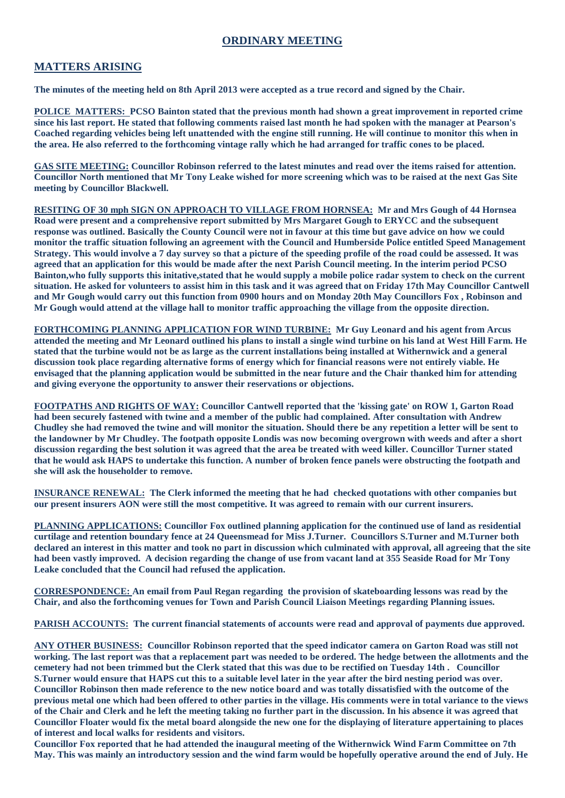## **ORDINARY MEETING**

#### **MATTERS ARISING**

**The minutes of the meeting held on 8th April 2013 were accepted as a true record and signed by the Chair.**

**POLICE MATTERS: PCSO Bainton stated that the previous month had shown a great improvement in reported crime since his last report. He stated that following comments raised last month he had spoken with the manager at Pearson's Coached regarding vehicles being left unattended with the engine still running. He will continue to monitor this when in the area. He also referred to the forthcoming vintage rally which he had arranged for traffic cones to be placed.**

**GAS SITE MEETING: Councillor Robinson referred to the latest minutes and read over the items raised for attention. Councillor North mentioned that Mr Tony Leake wished for more screening which was to be raised at the next Gas Site meeting by Councillor Blackwell.**

**RESITING OF 30 mph SIGN ON APPROACH TO VILLAGE FROM HORNSEA: Mr and Mrs Gough of 44 Hornsea Road were present and a comprehensive report submitted by Mrs Margaret Gough to ERYCC and the subsequent response was outlined. Basically the County Council were not in favour at this time but gave advice on how we could monitor the traffic situation following an agreement with the Council and Humberside Police entitled Speed Management Strategy. This would involve a 7 day survey so that a picture of the speeding profile of the road could be assessed. It was agreed that an application for this would be made after the next Parish Council meeting. In the interim period PCSO Bainton,who fully supports this initative,stated that he would supply a mobile police radar system to check on the current situation. He asked for volunteers to assist him in this task and it was agreed that on Friday 17th May Councillor Cantwell and Mr Gough would carry out this function from 0900 hours and on Monday 20th May Councillors Fox , Robinson and Mr Gough would attend at the village hall to monitor traffic approaching the village from the opposite direction.**

**FORTHCOMING PLANNING APPLICATION FOR WIND TURBINE: Mr Guy Leonard and his agent from Arcus attended the meeting and Mr Leonard outlined his plans to install a single wind turbine on his land at West Hill Farm. He stated that the turbine would not be as large as the current installations being installed at Withernwick and a general discussion took place regarding alternative forms of energy which for financial reasons were not entirely viable. He envisaged that the planning application would be submitted in the near future and the Chair thanked him for attending and giving everyone the opportunity to answer their reservations or objections.**

**FOOTPATHS AND RIGHTS OF WAY: Councillor Cantwell reported that the 'kissing gate' on ROW 1, Garton Road had been securely fastened with twine and a member of the public had complained. After consultation with Andrew Chudley she had removed the twine and will monitor the situation. Should there be any repetition a letter will be sent to the landowner by Mr Chudley. The footpath opposite Londis was now becoming overgrown with weeds and after a short discussion regarding the best solution it was agreed that the area be treated with weed killer. Councillor Turner stated that he would ask HAPS to undertake this function. A number of broken fence panels were obstructing the footpath and she will ask the householder to remove.**

**INSURANCE RENEWAL: The Clerk informed the meeting that he had checked quotations with other companies but our present insurers AON were still the most competitive. It was agreed to remain with our current insurers.**

**PLANNING APPLICATIONS: Councillor Fox outlined planning application for the continued use of land as residential curtilage and retention boundary fence at 24 Queensmead for Miss J.Turner. Councillors S.Turner and M.Turner both declared an interest in this matter and took no part in discussion which culminated with approval, all agreeing that the site had been vastly improved. A decision regarding the change of use from vacant land at 355 Seaside Road for Mr Tony Leake concluded that the Council had refused the application.**

**CORRESPONDENCE: An email from Paul Regan regarding the provision of skateboarding lessons was read by the Chair, and also the forthcoming venues for Town and Parish Council Liaison Meetings regarding Planning issues.**

**PARISH ACCOUNTS: The current financial statements of accounts were read and approval of payments due approved.**

**ANY OTHER BUSINESS: Councillor Robinson reported that the speed indicator camera on Garton Road was still not working. The last report was that a replacement part was needed to be ordered. The hedge between the allotments and the cemetery had not been trimmed but the Clerk stated that this was due to be rectified on Tuesday 14th . Councillor S.Turner would ensure that HAPS cut this to a suitable level later in the year after the bird nesting period was over. Councillor Robinson then made reference to the new notice board and was totally dissatisfied with the outcome of the previous metal one which had been offered to other parties in the village. His comments were in total variance to the views of the Chair and Clerk and he left the meeting taking no further part in the discussion. In his absence it was agreed that Councillor Floater would fix the metal board alongside the new one for the displaying of literature appertaining to places of interest and local walks for residents and visitors.**

**Councillor Fox reported that he had attended the inaugural meeting of the Withernwick Wind Farm Committee on 7th May. This was mainly an introductory session and the wind farm would be hopefully operative around the end of July. He**